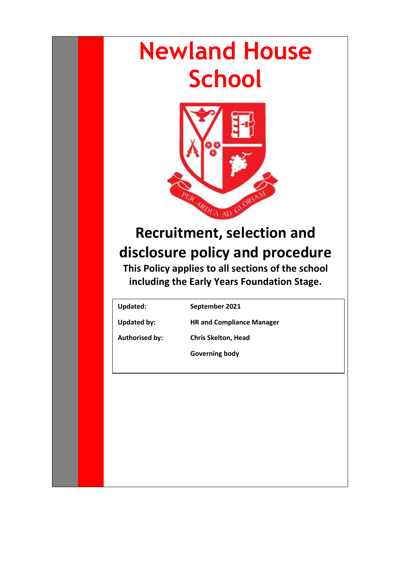# **Newland House School**



# **Recruitment, selection and disclosure policy and procedure**

**This Policy applies to all sections of the school including the Early Years Foundation Stage.**

**Updated: September 2021**

**Updated by: HR and Compliance Manager**

**Authorised by: Chris Skelton, Head**

**Governing body**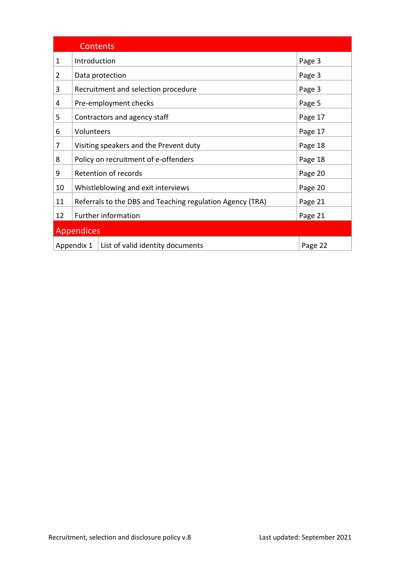| <b>Contents</b>                                |                                                           |  |         |
|------------------------------------------------|-----------------------------------------------------------|--|---------|
| 1                                              | Introduction                                              |  | Page 3  |
| $\overline{2}$                                 | Data protection                                           |  | Page 3  |
| 3                                              | Recruitment and selection procedure                       |  | Page 3  |
| 4                                              | Pre-employment checks                                     |  | Page 5  |
| 5                                              | Contractors and agency staff                              |  | Page 17 |
| 6                                              | Volunteers                                                |  | Page 17 |
| 7                                              | Visiting speakers and the Prevent duty                    |  | Page 18 |
| 8                                              | Policy on recruitment of e-offenders                      |  | Page 18 |
| 9                                              | Retention of records                                      |  | Page 20 |
| 10                                             | Whistleblowing and exit interviews                        |  | Page 20 |
| 11                                             | Referrals to the DBS and Teaching regulation Agency (TRA) |  | Page 21 |
| 12                                             | <b>Further information</b>                                |  | Page 21 |
| <b>Appendices</b>                              |                                                           |  |         |
| List of valid identity documents<br>Appendix 1 |                                                           |  | Page 22 |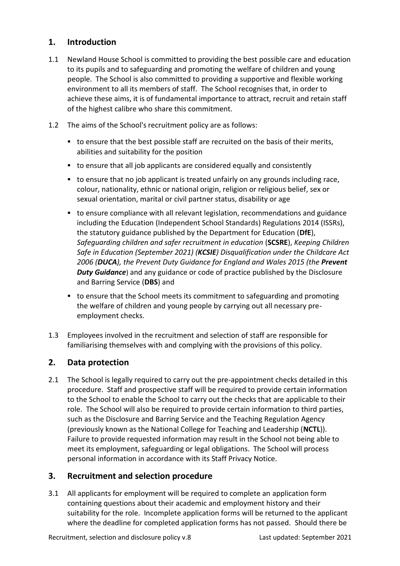## <span id="page-2-0"></span>**1. Introduction**

- 1.1 Newland House School is committed to providing the best possible care and education to its pupils and to safeguarding and promoting the welfare of children and young people. The School is also committed to providing a supportive and flexible working environment to all its members of staff. The School recognises that, in order to achieve these aims, it is of fundamental importance to attract, recruit and retain staff of the highest calibre who share this commitment.
- 1.2 The aims of the School's recruitment policy are as follows:
	- to ensure that the best possible staff are recruited on the basis of their merits, abilities and suitability for the position
	- to ensure that all job applicants are considered equally and consistently
	- to ensure that no job applicant is treated unfairly on any grounds including race, colour, nationality, ethnic or national origin, religion or religious belief, sex or sexual orientation, marital or civil partner status, disability or age
	- to ensure compliance with all relevant legislation, recommendations and guidance including the Education (Independent School Standards) Regulations 2014 (ISSRs), the statutory guidance published by the Department for Education (**DfE**), *Safeguarding children and safer recruitment in education* (**SCSRE**), *Keeping Children Safe in Education (September 2021) (KCSIE) Disqualification under the Childcare Act 2006 (DUCA), the Prevent Duty Guidance for England and Wales 2015 (the Prevent Duty Guidance*) and any guidance or code of practice published by the Disclosure and Barring Service (**DBS**) and
	- to ensure that the School meets its commitment to safeguarding and promoting the welfare of children and young people by carrying out all necessary preemployment checks.
- 1.3 Employees involved in the recruitment and selection of staff are responsible for familiarising themselves with and complying with the provisions of this policy.

# <span id="page-2-1"></span>**2. Data protection**

2.1 The School is legally required to carry out the pre-appointment checks detailed in this procedure. Staff and prospective staff will be required to provide certain information to the School to enable the School to carry out the checks that are applicable to their role. The School will also be required to provide certain information to third parties, such as the Disclosure and Barring Service and the Teaching Regulation Agency (previously known as the National College for Teaching and Leadership (**NCTL**)). Failure to provide requested information may result in the School not being able to meet its employment, safeguarding or legal obligations. The School will process personal information in accordance with its Staff Privacy Notice.

#### <span id="page-2-2"></span>**3. Recruitment and selection procedure**

3.1 All applicants for employment will be required to complete an application form containing questions about their academic and employment history and their suitability for the role. Incomplete application forms will be returned to the applicant where the deadline for completed application forms has not passed. Should there be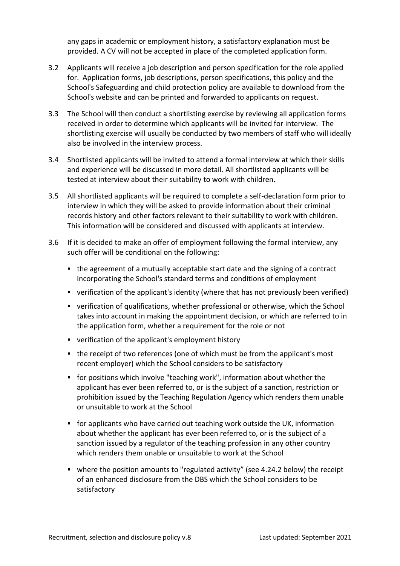any gaps in academic or employment history, a satisfactory explanation must be provided. A CV will not be accepted in place of the completed application form.

- 3.2 Applicants will receive a job description and person specification for the role applied for. Application forms, job descriptions, person specifications, this policy and the School's Safeguarding and child protection policy are available to download from the School's website and can be printed and forwarded to applicants on request.
- 3.3 The School will then conduct a shortlisting exercise by reviewing all application forms received in order to determine which applicants will be invited for interview. The shortlisting exercise will usually be conducted by two members of staff who will ideally also be involved in the interview process.
- 3.4 Shortlisted applicants will be invited to attend a formal interview at which their skills and experience will be discussed in more detail. All shortlisted applicants will be tested at interview about their suitability to work with children.
- 3.5 All shortlisted applicants will be required to complete a self-declaration form prior to interview in which they will be asked to provide information about their criminal records history and other factors relevant to their suitability to work with children. This information will be considered and discussed with applicants at interview.
- 3.6 If it is decided to make an offer of employment following the formal interview, any such offer will be conditional on the following:
	- the agreement of a mutually acceptable start date and the signing of a contract incorporating the School's standard terms and conditions of employment
	- verification of the applicant's identity (where that has not previously been verified)
	- verification of qualifications, whether professional or otherwise, which the School takes into account in making the appointment decision, or which are referred to in the application form, whether a requirement for the role or not
	- verification of the applicant's employment history
	- the receipt of two references (one of which must be from the applicant's most recent employer) which the School considers to be satisfactory
	- for positions which involve "teaching work", information about whether the applicant has ever been referred to, or is the subject of a sanction, restriction or prohibition issued by the Teaching Regulation Agency which renders them unable or unsuitable to work at the School
	- for applicants who have carried out teaching work outside the UK, information about whether the applicant has ever been referred to, or is the subject of a sanction issued by a regulator of the teaching profession in any other country which renders them unable or unsuitable to work at the School
	- where the position amounts to "regulated activity" (see 4.24.2 below) the receipt of an enhanced disclosure from the DBS which the School considers to be satisfactory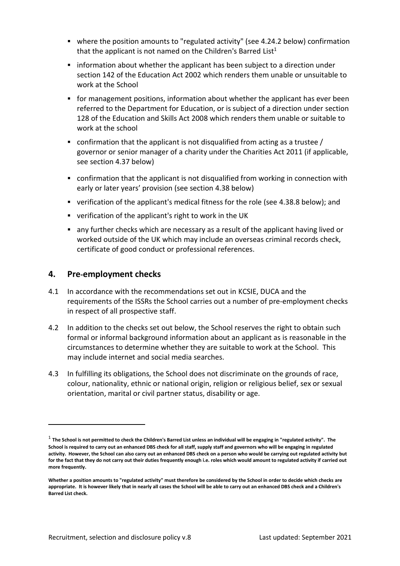- where the position amounts to "regulated activity" (see 4.24.2 below) confirmation that the applicant is not named on the Children's Barred List<sup>1</sup>
- **•** information about whether the applicant has been subject to a direction under section 142 of the Education Act 2002 which renders them unable or unsuitable to work at the School
- for management positions, information about whether the applicant has ever been referred to the Department for Education, or is subject of a direction under section 128 of the Education and Skills Act 2008 which renders them unable or suitable to work at the school
- **•** confirmation that the applicant is not disqualified from acting as a trustee  $/$ governor or senior manager of a charity under the Charities Act 2011 (if applicable, see section 4.37 below)
- confirmation that the applicant is not disqualified from working in connection with early or later years' provision (see section 4.38 below)
- verification of the applicant's medical fitness for the role (see 4.38.8 below); and
- verification of the applicant's right to work in the UK
- any further checks which are necessary as a result of the applicant having lived or worked outside of the UK which may include an overseas criminal records check, certificate of good conduct or professional references.

#### <span id="page-4-0"></span>**4. Pre-employment checks**

- 4.1 In accordance with the recommendations set out in KCSIE, DUCA and the requirements of the ISSRs the School carries out a number of pre-employment checks in respect of all prospective staff.
- 4.2 In addition to the checks set out below, the School reserves the right to obtain such formal or informal background information about an applicant as is reasonable in the circumstances to determine whether they are suitable to work at the School. This may include internet and social media searches.
- 4.3 In fulfilling its obligations, the School does not discriminate on the grounds of race, colour, nationality, ethnic or national origin, religion or religious belief, sex or sexual orientation, marital or civil partner status, disability or age.

<sup>1</sup> **The School is not permitted to check the Children's Barred List unless an individual will be engaging in "regulated activity". The School is required to carry out an enhanced DBS check for all staff, supply staff and governors who will be engaging in regulated activity. However, the School can also carry out an enhanced DBS check on a person who would be carrying out regulated activity but for the fact that they do not carry out their duties frequently enough i.e. roles which would amount to regulated activity if carried out more frequently.**

**Whether a position amounts to "regulated activity" must therefore be considered by the School in order to decide which checks are appropriate. It is however likely that in nearly all cases the School will be able to carry out an enhanced DBS check and a Children's Barred List check.**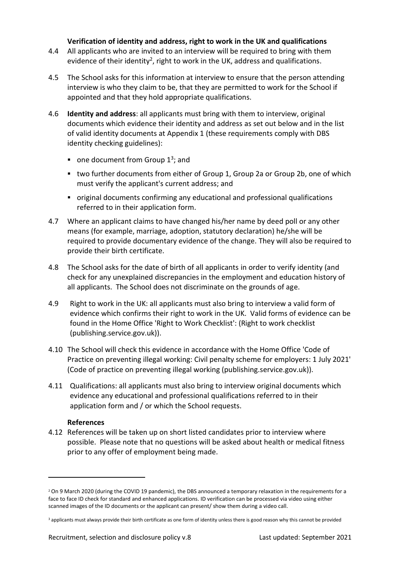#### **Verification of identity and address, right to work in the UK and qualifications**

- 4.4 All applicants who are invited to an interview will be required to bring with them evidence of their identity<sup>2</sup>, right to work in the UK, address and qualifications.
- 4.5 The School asks for this information at interview to ensure that the person attending interview is who they claim to be, that they are permitted to work for the School if appointed and that they hold appropriate qualifications.
- 4.6 **Identity and address**: all applicants must bring with them to interview, original documents which evidence their identity and address as set out below and in the list of valid identity documents at [Appendix 1](#page-21-0) (these requirements comply with DBS identity checking guidelines):
	- $\blacksquare$  one document from Group 1<sup>3</sup>; and
	- two further documents from either of Group 1, Group 2a or Group 2b, one of which must verify the applicant's current address; and
	- original documents confirming any educational and professional qualifications referred to in their application form.
- 4.7 Where an applicant claims to have changed his/her name by deed poll or any other means (for example, marriage, adoption, statutory declaration) he/she will be required to provide documentary evidence of the change. They will also be required to provide their birth certificate.
- 4.8 The School asks for the date of birth of all applicants in order to verify identity (and check for any unexplained discrepancies in the employment and education history of all applicants. The School does not discriminate on the grounds of age.
- 4.9 Right to work in the UK: all applicants must also bring to interview a valid form of evidence which confirms their right to work in the UK. Valid forms of evidence can be found in the Home Office 'Right to Work Checklist': (Right to work checklist (publishing.service.gov.uk)).
- 4.10 The School will check this evidence in accordance with the Home Office 'Code of Practice on preventing illegal working: Civil penalty scheme for employers: 1 July 2021' (Code of practice on preventing illegal working (publishing.service.gov.uk)).
- 4.11 Qualifications: all applicants must also bring to interview original documents which evidence any educational and professional qualifications referred to in their application form and / or which the School requests.

#### **References**

4.12 References will be taken up on short listed candidates prior to interview where possible. Please note that no questions will be asked about health or medical fitness prior to any offer of employment being made.

<sup>2</sup> On 9 March 2020 (during the COVID 19 pandemic), the DBS announced a temporary relaxation in the requirements for a face to face ID check for standard and enhanced applications. ID verification can be processed via video using either scanned images of the ID documents or the applicant can present/ show them during a video call.

<sup>&</sup>lt;sup>3</sup> applicants must always provide their birth certificate as one form of identity unless there is good reason why this cannot be provided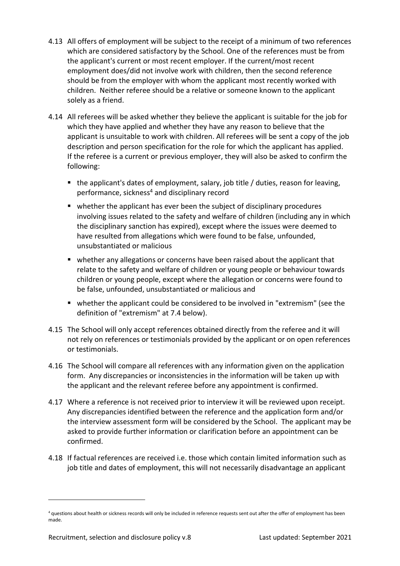- 4.13 All offers of employment will be subject to the receipt of a minimum of two references which are considered satisfactory by the School. One of the references must be from the applicant's current or most recent employer. If the current/most recent employment does/did not involve work with children, then the second reference should be from the employer with whom the applicant most recently worked with children. Neither referee should be a relative or someone known to the applicant solely as a friend.
- 4.14 All referees will be asked whether they believe the applicant is suitable for the job for which they have applied and whether they have any reason to believe that the applicant is unsuitable to work with children. All referees will be sent a copy of the job description and person specification for the role for which the applicant has applied. If the referee is a current or previous employer, they will also be asked to confirm the following:
	- the applicant's dates of employment, salary, job title / duties, reason for leaving, performance, sickness<sup>4</sup> and disciplinary record
	- whether the applicant has ever been the subject of disciplinary procedures involving issues related to the safety and welfare of children (including any in which the disciplinary sanction has expired), except where the issues were deemed to have resulted from allegations which were found to be false, unfounded, unsubstantiated or malicious
	- whether any allegations or concerns have been raised about the applicant that relate to the safety and welfare of children or young people or behaviour towards children or young people, except where the allegation or concerns were found to be false, unfounded, unsubstantiated or malicious and
	- whether the applicant could be considered to be involved in "extremism" (see the definition of "extremism" at 7.4 below).
- 4.15 The School will only accept references obtained directly from the referee and it will not rely on references or testimonials provided by the applicant or on open references or testimonials.
- 4.16 The School will compare all references with any information given on the application form. Any discrepancies or inconsistencies in the information will be taken up with the applicant and the relevant referee before any appointment is confirmed.
- 4.17 Where a reference is not received prior to interview it will be reviewed upon receipt. Any discrepancies identified between the reference and the application form and/or the interview assessment form will be considered by the School. The applicant may be asked to provide further information or clarification before an appointment can be confirmed.
- 4.18 If factual references are received i.e. those which contain limited information such as job title and dates of employment, this will not necessarily disadvantage an applicant

<sup>4</sup> questions about health or sickness records will only be included in reference requests sent out after the offer of employment has been made.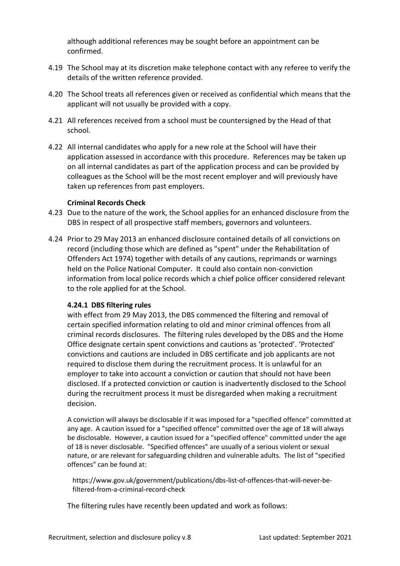although additional references may be sought before an appointment can be confirmed.

- 4.19 The School may at its discretion make telephone contact with any referee to verify the details of the written reference provided.
- 4.20 The School treats all references given or received as confidential which means that the applicant will not usually be provided with a copy.
- 4.21 All references received from a school must be countersigned by the Head of that school.
- 4.22 All internal candidates who apply for a new role at the School will have their application assessed in accordance with this procedure. References may be taken up on all internal candidates as part of the application process and can be provided by colleagues as the School will be the most recent employer and will previously have taken up references from past employers.

#### **Criminal Records Check**

- 4.23 Due to the nature of the work, the School applies for an enhanced disclosure from the DBS in respect of all prospective staff members, governors and volunteers.
- 4.24 Prior to 29 May 2013 an enhanced disclosure contained details of all convictions on record (including those which are defined as "spent" under the Rehabilitation of Offenders Act 1974) together with details of any cautions, reprimands or warnings held on the Police National Computer. It could also contain non-conviction information from local police records which a chief police officer considered relevant to the role applied for at the School.

#### **4.24.1 DBS filtering rules**

with effect from 29 May 2013, the DBS commenced the filtering and removal of certain specified information relating to old and minor criminal offences from all criminal records disclosures. The filtering rules developed by the DBS and the Home Office designate certain spent convictions and cautions as 'protected'. 'Protected' convictions and cautions are included in DBS certificate and job applicants are not required to disclose them during the recruitment process. It is unlawful for an employer to take into account a conviction or caution that should not have been disclosed. If a protected conviction or caution is inadvertently disclosed to the School during the recruitment process it must be disregarded when making a recruitment decision.

A conviction will always be disclosable if it was imposed for a "specified offence" committed at any age. A caution issued for a "specified offence" committed over the age of 18 will always be disclosable. However, a caution issued for a "specified offence" committed under the age of 18 is never disclosable. "Specified offences" are usually of a serious violent or sexual nature, or are relevant for safeguarding children and vulnerable adults. The list of "specified offences" can be found at:

https://www.gov.uk/government/publications/dbs-list-of-offences-that-will-never-befiltered-from-a-criminal-record-check

The filtering rules have recently been updated and work as follows: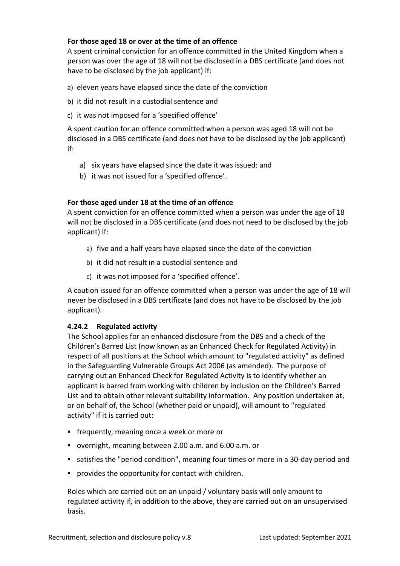#### **For those aged 18 or over at the time of an offence**

A spent criminal conviction for an offence committed in the United Kingdom when a person was over the age of 18 will not be disclosed in a DBS certificate (and does not have to be disclosed by the job applicant) if:

- a) eleven years have elapsed since the date of the conviction
- b) it did not result in a custodial sentence and
- c) it was not imposed for a 'specified offence'

A spent caution for an offence committed when a person was aged 18 will not be disclosed in a DBS certificate (and does not have to be disclosed by the job applicant) if:

- a) six years have elapsed since the date it was issued: and
- b) it was not issued for a 'specified offence'.

#### **For those aged under 18 at the time of an offence**

A spent conviction for an offence committed when a person was under the age of 18 will not be disclosed in a DBS certificate (and does not need to be disclosed by the job applicant) if:

- a) five and a half years have elapsed since the date of the conviction
- b) it did not result in a custodial sentence and
- c) it was not imposed for a 'specified offence'.

A caution issued for an offence committed when a person was under the age of 18 will never be disclosed in a DBS certificate (and does not have to be disclosed by the job applicant).

#### **4.24.2 Regulated activity**

The School applies for an enhanced disclosure from the DBS and a check of the Children's Barred List (now known as an Enhanced Check for Regulated Activity) in respect of all positions at the School which amount to "regulated activity" as defined in the Safeguarding Vulnerable Groups Act 2006 (as amended). The purpose of carrying out an Enhanced Check for Regulated Activity is to identify whether an applicant is barred from working with children by inclusion on the Children's Barred List and to obtain other relevant suitability information. Any position undertaken at, or on behalf of, the School (whether paid or unpaid), will amount to "regulated activity" if it is carried out:

- frequently, meaning once a week or more or
- overnight, meaning between 2.00 a.m. and 6.00 a.m. or
- satisfies the "period condition", meaning four times or more in a 30-day period and
- provides the opportunity for contact with children.

Roles which are carried out on an unpaid / voluntary basis will only amount to regulated activity if, in addition to the above, they are carried out on an unsupervised basis.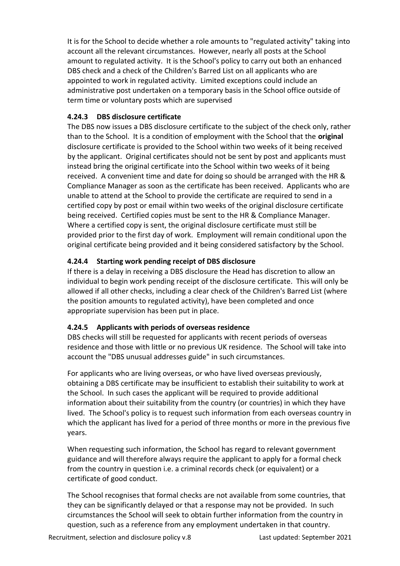It is for the School to decide whether a role amounts to "regulated activity" taking into account all the relevant circumstances. However, nearly all posts at the School amount to regulated activity. It is the School's policy to carry out both an enhanced DBS check and a check of the Children's Barred List on all applicants who are appointed to work in regulated activity. Limited exceptions could include an administrative post undertaken on a temporary basis in the School office outside of term time or voluntary posts which are supervised

#### **4.24.3 DBS disclosure certificate**

The DBS now issues a DBS disclosure certificate to the subject of the check only, rather than to the School. It is a condition of employment with the School that the **original** disclosure certificate is provided to the School within two weeks of it being received by the applicant. Original certificates should not be sent by post and applicants must instead bring the original certificate into the School within two weeks of it being received. A convenient time and date for doing so should be arranged with the HR & Compliance Manager as soon as the certificate has been received. Applicants who are unable to attend at the School to provide the certificate are required to send in a certified copy by post or email within two weeks of the original disclosure certificate being received. Certified copies must be sent to the HR & Compliance Manager. Where a certified copy is sent, the original disclosure certificate must still be provided prior to the first day of work. Employment will remain conditional upon the original certificate being provided and it being considered satisfactory by the School.

#### **4.24.4 Starting work pending receipt of DBS disclosure**

If there is a delay in receiving a DBS disclosure the Head has discretion to allow an individual to begin work pending receipt of the disclosure certificate. This will only be allowed if all other checks, including a clear check of the Children's Barred List (where the position amounts to regulated activity), have been completed and once appropriate supervision has been put in place.

#### **4.24.5 Applicants with periods of overseas residence**

DBS checks will still be requested for applicants with recent periods of overseas residence and those with little or no previous UK residence. The School will take into account the "DBS unusual addresses guide" in such circumstances.

For applicants who are living overseas, or who have lived overseas previously, obtaining a DBS certificate may be insufficient to establish their suitability to work at the School. In such cases the applicant will be required to provide additional information about their suitability from the country (or countries) in which they have lived. The School's policy is to request such information from each overseas country in which the applicant has lived for a period of three months or more in the previous five years.

When requesting such information, the School has regard to relevant government guidance and will therefore always require the applicant to apply for a formal check from the country in question i.e. a criminal records check (or equivalent) or a certificate of good conduct.

The School recognises that formal checks are not available from some countries, that they can be significantly delayed or that a response may not be provided. In such circumstances the School will seek to obtain further information from the country in question, such as a reference from any employment undertaken in that country.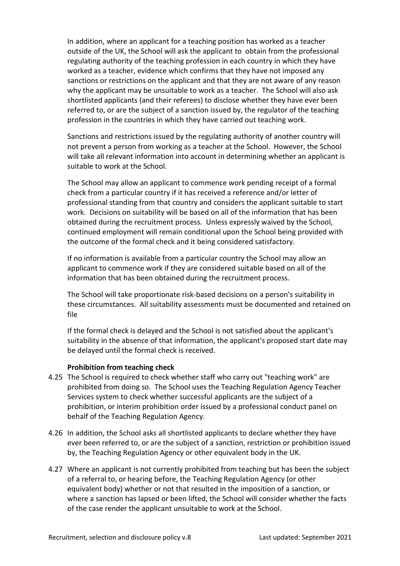In addition, where an applicant for a teaching position has worked as a teacher outside of the UK, the School will ask the applicant to obtain from the professional regulating authority of the teaching profession in each country in which they have worked as a teacher, evidence which confirms that they have not imposed any sanctions or restrictions on the applicant and that they are not aware of any reason why the applicant may be unsuitable to work as a teacher. The School will also ask shortlisted applicants (and their referees) to disclose whether they have ever been referred to, or are the subject of a sanction issued by, the regulator of the teaching profession in the countries in which they have carried out teaching work.

Sanctions and restrictions issued by the regulating authority of another country will not prevent a person from working as a teacher at the School. However, the School will take all relevant information into account in determining whether an applicant is suitable to work at the School.

The School may allow an applicant to commence work pending receipt of a formal check from a particular country if it has received a reference and/or letter of professional standing from that country and considers the applicant suitable to start work. Decisions on suitability will be based on all of the information that has been obtained during the recruitment process. Unless expressly waived by the School, continued employment will remain conditional upon the School being provided with the outcome of the formal check and it being considered satisfactory.

If no information is available from a particular country the School may allow an applicant to commence work if they are considered suitable based on all of the information that has been obtained during the recruitment process.

The School will take proportionate risk-based decisions on a person's suitability in these circumstances. All suitability assessments must be documented and retained on file

If the formal check is delayed and the School is not satisfied about the applicant's suitability in the absence of that information, the applicant's proposed start date may be delayed until the formal check is received.

#### **Prohibition from teaching check**

- 4.25 The School is required to check whether staff who carry out "teaching work" are prohibited from doing so. The School uses the Teaching Regulation Agency Teacher Services system to check whether successful applicants are the subject of a prohibition, or interim prohibition order issued by a professional conduct panel on behalf of the Teaching Regulation Agency.
- 4.26 In addition, the School asks all shortlisted applicants to declare whether they have ever been referred to, or are the subject of a sanction, restriction or prohibition issued by, the Teaching Regulation Agency or other equivalent body in the UK.
- 4.27 Where an applicant is not currently prohibited from teaching but has been the subject of a referral to, or hearing before, the Teaching Regulation Agency (or other equivalent body) whether or not that resulted in the imposition of a sanction, or where a sanction has lapsed or been lifted, the School will consider whether the facts of the case render the applicant unsuitable to work at the School.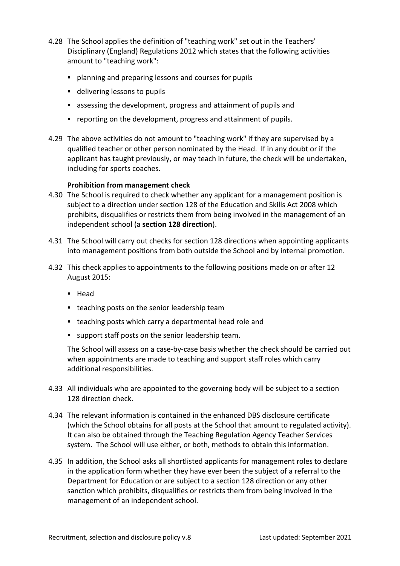- 4.28 The School applies the definition of "teaching work" set out in the Teachers' Disciplinary (England) Regulations 2012 which states that the following activities amount to "teaching work":
	- planning and preparing lessons and courses for pupils
	- delivering lessons to pupils
	- assessing the development, progress and attainment of pupils and
	- reporting on the development, progress and attainment of pupils.
- 4.29 The above activities do not amount to "teaching work" if they are supervised by a qualified teacher or other person nominated by the Head. If in any doubt or if the applicant has taught previously, or may teach in future, the check will be undertaken, including for sports coaches.

#### **Prohibition from management check**

- 4.30 The School is required to check whether any applicant for a management position is subject to a direction under section 128 of the Education and Skills Act 2008 which prohibits, disqualifies or restricts them from being involved in the management of an independent school (a **section 128 direction**).
- 4.31 The School will carry out checks for section 128 directions when appointing applicants into management positions from both outside the School and by internal promotion.
- 4.32 This check applies to appointments to the following positions made on or after 12 August 2015:
	- Head
	- teaching posts on the senior leadership team
	- teaching posts which carry a departmental head role and
	- support staff posts on the senior leadership team.

The School will assess on a case-by-case basis whether the check should be carried out when appointments are made to teaching and support staff roles which carry additional responsibilities.

- 4.33 All individuals who are appointed to the governing body will be subject to a section 128 direction check.
- 4.34 The relevant information is contained in the enhanced DBS disclosure certificate (which the School obtains for all posts at the School that amount to regulated activity). It can also be obtained through the Teaching Regulation Agency Teacher Services system. The School will use either, or both, methods to obtain this information.
- 4.35 In addition, the School asks all shortlisted applicants for management roles to declare in the application form whether they have ever been the subject of a referral to the Department for Education or are subject to a section 128 direction or any other sanction which prohibits, disqualifies or restricts them from being involved in the management of an independent school.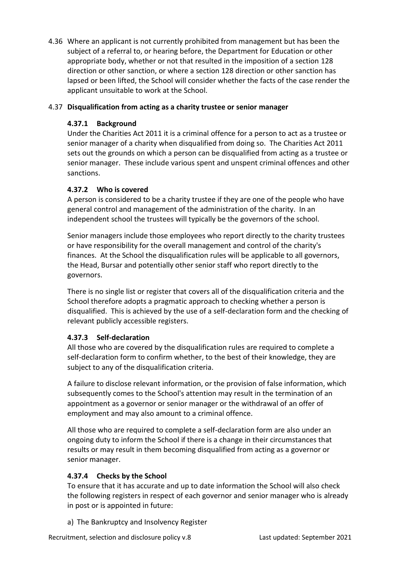4.36 Where an applicant is not currently prohibited from management but has been the subject of a referral to, or hearing before, the Department for Education or other appropriate body, whether or not that resulted in the imposition of a section 128 direction or other sanction, or where a section 128 direction or other sanction has lapsed or been lifted, the School will consider whether the facts of the case render the applicant unsuitable to work at the School.

#### 4.37 **Disqualification from acting as a charity trustee or senior manager**

#### **4.37.1 Background**

Under the Charities Act 2011 it is a criminal offence for a person to act as a trustee or senior manager of a charity when disqualified from doing so. The Charities Act 2011 sets out the grounds on which a person can be disqualified from acting as a trustee or senior manager. These include various spent and unspent criminal offences and other sanctions.

#### **4.37.2 Who is covered**

A person is considered to be a charity trustee if they are one of the people who have general control and management of the administration of the charity. In an independent school the trustees will typically be the governors of the school.

Senior managers include those employees who report directly to the charity trustees or have responsibility for the overall management and control of the charity's finances. At the School the disqualification rules will be applicable to all governors, the Head, Bursar and potentially other senior staff who report directly to the governors.

There is no single list or register that covers all of the disqualification criteria and the School therefore adopts a pragmatic approach to checking whether a person is disqualified. This is achieved by the use of a self-declaration form and the checking of relevant publicly accessible registers.

#### **4.37.3 Self-declaration**

All those who are covered by the disqualification rules are required to complete a self-declaration form to confirm whether, to the best of their knowledge, they are subject to any of the disqualification criteria.

A failure to disclose relevant information, or the provision of false information, which subsequently comes to the School's attention may result in the termination of an appointment as a governor or senior manager or the withdrawal of an offer of employment and may also amount to a criminal offence.

All those who are required to complete a self-declaration form are also under an ongoing duty to inform the School if there is a change in their circumstances that results or may result in them becoming disqualified from acting as a governor or senior manager.

#### **4.37.4 Checks by the School**

To ensure that it has accurate and up to date information the School will also check the following registers in respect of each governor and senior manager who is already in post or is appointed in future:

a) The Bankruptcy and Insolvency Register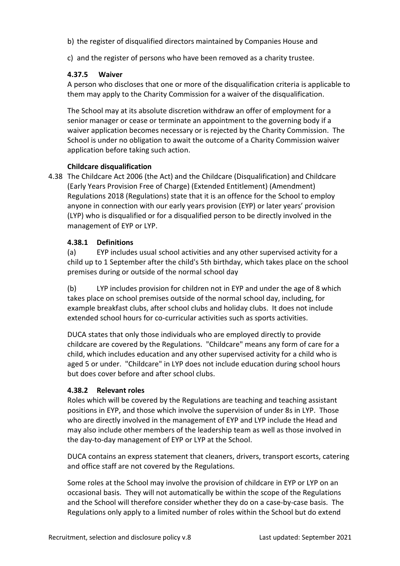- b) the register of disqualified directors maintained by Companies House and
- c) and the register of persons who have been removed as a charity trustee.

#### **4.37.5 Waiver**

A person who discloses that one or more of the disqualification criteria is applicable to them may apply to the Charity Commission for a waiver of the disqualification.

The School may at its absolute discretion withdraw an offer of employment for a senior manager or cease or terminate an appointment to the governing body if a waiver application becomes necessary or is rejected by the Charity Commission. The School is under no obligation to await the outcome of a Charity Commission waiver application before taking such action.

#### **Childcare disqualification**

4.38 The Childcare Act 2006 (the Act) and the Childcare (Disqualification) and Childcare (Early Years Provision Free of Charge) (Extended Entitlement) (Amendment) Regulations 2018 (Regulations) state that it is an offence for the School to employ anyone in connection with our early years provision (EYP) or later years' provision (LYP) who is disqualified or for a disqualified person to be directly involved in the management of EYP or LYP.

#### **4.38.1 Definitions**

(a) EYP includes usual school activities and any other supervised activity for a child up to 1 September after the child's 5th birthday, which takes place on the school premises during or outside of the normal school day

(b) LYP includes provision for children not in EYP and under the age of 8 which takes place on school premises outside of the normal school day, including, for example breakfast clubs, after school clubs and holiday clubs. It does not include extended school hours for co-curricular activities such as sports activities.

DUCA states that only those individuals who are employed directly to provide childcare are covered by the Regulations. "Childcare" means any form of care for a child, which includes education and any other supervised activity for a child who is aged 5 or under. "Childcare" in LYP does not include education during school hours but does cover before and after school clubs.

#### **4.38.2 Relevant roles**

Roles which will be covered by the Regulations are teaching and teaching assistant positions in EYP, and those which involve the supervision of under 8s in LYP. Those who are directly involved in the management of EYP and LYP include the Head and may also include other members of the leadership team as well as those involved in the day-to-day management of EYP or LYP at the School.

DUCA contains an express statement that cleaners, drivers, transport escorts, catering and office staff are not covered by the Regulations.

Some roles at the School may involve the provision of childcare in EYP or LYP on an occasional basis. They will not automatically be within the scope of the Regulations and the School will therefore consider whether they do on a case-by-case basis. The Regulations only apply to a limited number of roles within the School but do extend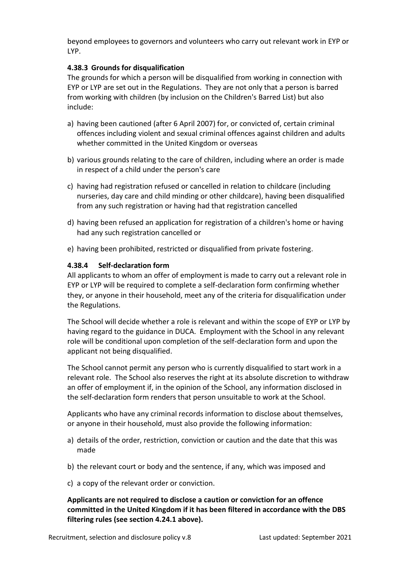beyond employees to governors and volunteers who carry out relevant work in EYP or LYP.

#### **4.38.3 Grounds for disqualification**

The grounds for which a person will be disqualified from working in connection with EYP or LYP are set out in the Regulations. They are not only that a person is barred from working with children (by inclusion on the Children's Barred List) but also include:

- a) having been cautioned (after 6 April 2007) for, or convicted of, certain criminal offences including violent and sexual criminal offences against children and adults whether committed in the United Kingdom or overseas
- b) various grounds relating to the care of children, including where an order is made in respect of a child under the person's care
- c) having had registration refused or cancelled in relation to childcare (including nurseries, day care and child minding or other childcare), having been disqualified from any such registration or having had that registration cancelled
- d) having been refused an application for registration of a children's home or having had any such registration cancelled or
- e) having been prohibited, restricted or disqualified from private fostering.

#### **4.38.4 Self-declaration form**

All applicants to whom an offer of employment is made to carry out a relevant role in EYP or LYP will be required to complete a self-declaration form confirming whether they, or anyone in their household, meet any of the criteria for disqualification under the Regulations.

The School will decide whether a role is relevant and within the scope of EYP or LYP by having regard to the guidance in DUCA. Employment with the School in any relevant role will be conditional upon completion of the self-declaration form and upon the applicant not being disqualified.

The School cannot permit any person who is currently disqualified to start work in a relevant role. The School also reserves the right at its absolute discretion to withdraw an offer of employment if, in the opinion of the School, any information disclosed in the self-declaration form renders that person unsuitable to work at the School.

Applicants who have any criminal records information to disclose about themselves, or anyone in their household, must also provide the following information:

- a) details of the order, restriction, conviction or caution and the date that this was made
- b) the relevant court or body and the sentence, if any, which was imposed and
- c) a copy of the relevant order or conviction.

#### **Applicants are not required to disclose a caution or conviction for an offence committed in the United Kingdom if it has been filtered in accordance with the DBS filtering rules (see section 4.24.1 above).**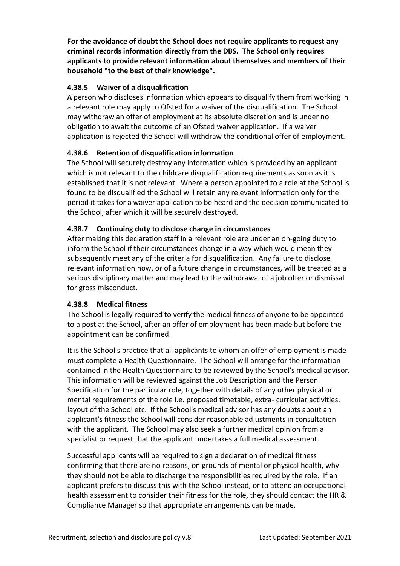**For the avoidance of doubt the School does not require applicants to request any criminal records information directly from the DBS. The School only requires applicants to provide relevant information about themselves and members of their household "to the best of their knowledge".**

#### **4.38.5 Waiver of a disqualification**

**A** person who discloses information which appears to disqualify them from working in a relevant role may apply to Ofsted for a waiver of the disqualification. The School may withdraw an offer of employment at its absolute discretion and is under no obligation to await the outcome of an Ofsted waiver application. If a waiver application is rejected the School will withdraw the conditional offer of employment.

#### **4.38.6 Retention of disqualification information**

The School will securely destroy any information which is provided by an applicant which is not relevant to the childcare disqualification requirements as soon as it is established that it is not relevant. Where a person appointed to a role at the School is found to be disqualified the School will retain any relevant information only for the period it takes for a waiver application to be heard and the decision communicated to the School, after which it will be securely destroyed.

#### **4.38.7 Continuing duty to disclose change in circumstances**

After making this declaration staff in a relevant role are under an on-going duty to inform the School if their circumstances change in a way which would mean they subsequently meet any of the criteria for disqualification. Any failure to disclose relevant information now, or of a future change in circumstances, will be treated as a serious disciplinary matter and may lead to the withdrawal of a job offer or dismissal for gross misconduct.

#### **4.38.8 Medical fitness**

The School is legally required to verify the medical fitness of anyone to be appointed to a post at the School, after an offer of employment has been made but before the appointment can be confirmed.

It is the School's practice that all applicants to whom an offer of employment is made must complete a Health Questionnaire. The School will arrange for the information contained in the Health Questionnaire to be reviewed by the School's medical advisor. This information will be reviewed against the Job Description and the Person Specification for the particular role, together with details of any other physical or mental requirements of the role i.e. proposed timetable, extra- curricular activities, layout of the School etc. If the School's medical advisor has any doubts about an applicant's fitness the School will consider reasonable adjustments in consultation with the applicant. The School may also seek a further medical opinion from a specialist or request that the applicant undertakes a full medical assessment.

Successful applicants will be required to sign a declaration of medical fitness confirming that there are no reasons, on grounds of mental or physical health, why they should not be able to discharge the responsibilities required by the role. If an applicant prefers to discuss this with the School instead, or to attend an occupational health assessment to consider their fitness for the role, they should contact the HR & Compliance Manager so that appropriate arrangements can be made.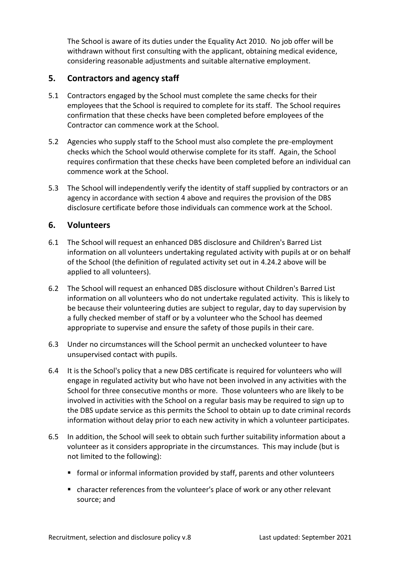The School is aware of its duties under the Equality Act 2010. No job offer will be withdrawn without first consulting with the applicant, obtaining medical evidence, considering reasonable adjustments and suitable alternative employment.

### <span id="page-16-0"></span>**5. Contractors and agency staff**

- 5.1 Contractors engaged by the School must complete the same checks for their employees that the School is required to complete for its staff. The School requires confirmation that these checks have been completed before employees of the Contractor can commence work at the School.
- 5.2 Agencies who supply staff to the School must also complete the pre-employment checks which the School would otherwise complete for its staff. Again, the School requires confirmation that these checks have been completed before an individual can commence work at the School.
- 5.3 The School will independently verify the identity of staff supplied by contractors or an agency in accordance with section 4 above and requires the provision of the DBS disclosure certificate before those individuals can commence work at the School.

#### <span id="page-16-1"></span>**6. Volunteers**

- 6.1 The School will request an enhanced DBS disclosure and Children's Barred List information on all volunteers undertaking regulated activity with pupils at or on behalf of the School (the definition of regulated activity set out in 4.24.2 above will be applied to all volunteers).
- 6.2 The School will request an enhanced DBS disclosure without Children's Barred List information on all volunteers who do not undertake regulated activity. This is likely to be because their volunteering duties are subject to regular, day to day supervision by a fully checked member of staff or by a volunteer who the School has deemed appropriate to supervise and ensure the safety of those pupils in their care.
- 6.3 Under no circumstances will the School permit an unchecked volunteer to have unsupervised contact with pupils.
- 6.4 It is the School's policy that a new DBS certificate is required for volunteers who will engage in regulated activity but who have not been involved in any activities with the School for three consecutive months or more. Those volunteers who are likely to be involved in activities with the School on a regular basis may be required to sign up to the DBS update service as this permits the School to obtain up to date criminal records information without delay prior to each new activity in which a volunteer participates.
- 6.5 In addition, the School will seek to obtain such further suitability information about a volunteer as it considers appropriate in the circumstances. This may include (but is not limited to the following):
	- formal or informal information provided by staff, parents and other volunteers
	- character references from the volunteer's place of work or any other relevant source; and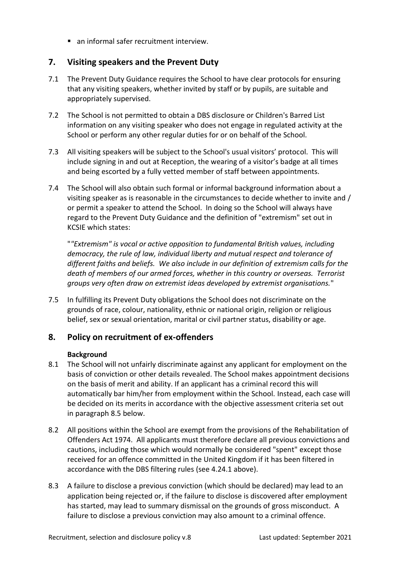■ an informal safer recruitment interview.

### <span id="page-17-0"></span>**7. Visiting speakers and the Prevent Duty**

- 7.1 The Prevent Duty Guidance requires the School to have clear protocols for ensuring that any visiting speakers, whether invited by staff or by pupils, are suitable and appropriately supervised.
- 7.2 The School is not permitted to obtain a DBS disclosure or Children's Barred List information on any visiting speaker who does not engage in regulated activity at the School or perform any other regular duties for or on behalf of the School.
- 7.3 All visiting speakers will be subject to the School's usual visitors' protocol. This will include signing in and out at Reception, the wearing of a visitor's badge at all times and being escorted by a fully vetted member of staff between appointments.
- 7.4 The School will also obtain such formal or informal background information about a visiting speaker as is reasonable in the circumstances to decide whether to invite and / or permit a speaker to attend the School. In doing so the School will always have regard to the Prevent Duty Guidance and the definition of "extremism" set out in KCSIE which states:

"*"Extremism" is vocal or active opposition to fundamental British values, including democracy, the rule of law, individual liberty and mutual respect and tolerance of different faiths and beliefs. We also include in our definition of extremism calls for the death of members of our armed forces, whether in this country or overseas. Terrorist groups very often draw on extremist ideas developed by extremist organisations.*"

7.5 In fulfilling its Prevent Duty obligations the School does not discriminate on the grounds of race, colour, nationality, ethnic or national origin, religion or religious belief, sex or sexual orientation, marital or civil partner status, disability or age.

# <span id="page-17-1"></span>**8. Policy on recruitment of ex-offenders**

#### **Background**

- 8.1 The School will not unfairly discriminate against any applicant for employment on the basis of conviction or other details revealed. The School makes appointment decisions on the basis of merit and ability. If an applicant has a criminal record this will automatically bar him/her from employment within the School. Instead, each case will be decided on its merits in accordance with the objective assessment criteria set out in paragraph 8.5 below.
- 8.2 All positions within the School are exempt from the provisions of the Rehabilitation of Offenders Act 1974. All applicants must therefore declare all previous convictions and cautions, including those which would normally be considered "spent" except those received for an offence committed in the United Kingdom if it has been filtered in accordance with the DBS filtering rules (see 4.24.1 above).
- 8.3 A failure to disclose a previous conviction (which should be declared) may lead to an application being rejected or, if the failure to disclose is discovered after employment has started, may lead to summary dismissal on the grounds of gross misconduct. A failure to disclose a previous conviction may also amount to a criminal offence.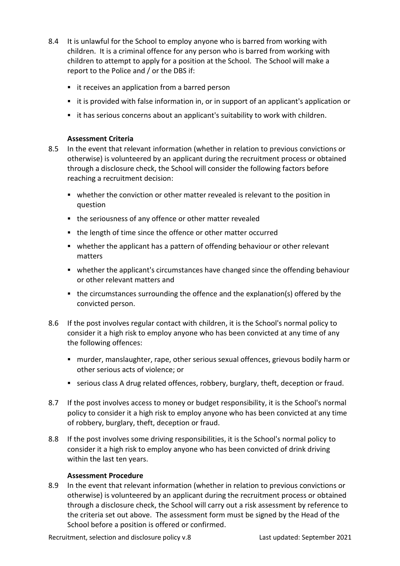- 8.4 It is unlawful for the School to employ anyone who is barred from working with children. It is a criminal offence for any person who is barred from working with children to attempt to apply for a position at the School. The School will make a report to the Police and / or the DBS if:
	- it receives an application from a barred person
	- it is provided with false information in, or in support of an applicant's application or
	- it has serious concerns about an applicant's suitability to work with children.

#### **Assessment Criteria**

- 8.5 In the event that relevant information (whether in relation to previous convictions or otherwise) is volunteered by an applicant during the recruitment process or obtained through a disclosure check, the School will consider the following factors before reaching a recruitment decision:
	- whether the conviction or other matter revealed is relevant to the position in question
	- the seriousness of any offence or other matter revealed
	- the length of time since the offence or other matter occurred
	- whether the applicant has a pattern of offending behaviour or other relevant matters
	- whether the applicant's circumstances have changed since the offending behaviour or other relevant matters and
	- the circumstances surrounding the offence and the explanation(s) offered by the convicted person.
- 8.6 If the post involves regular contact with children, it is the School's normal policy to consider it a high risk to employ anyone who has been convicted at any time of any the following offences:
	- murder, manslaughter, rape, other serious sexual offences, grievous bodily harm or other serious acts of violence; or
	- serious class A drug related offences, robbery, burglary, theft, deception or fraud.
- 8.7 If the post involves access to money or budget responsibility, it is the School's normal policy to consider it a high risk to employ anyone who has been convicted at any time of robbery, burglary, theft, deception or fraud.
- 8.8 If the post involves some driving responsibilities, it is the School's normal policy to consider it a high risk to employ anyone who has been convicted of drink driving within the last ten years.

#### **Assessment Procedure**

8.9 In the event that relevant information (whether in relation to previous convictions or otherwise) is volunteered by an applicant during the recruitment process or obtained through a disclosure check, the School will carry out a risk assessment by reference to the criteria set out above. The assessment form must be signed by the Head of the School before a position is offered or confirmed.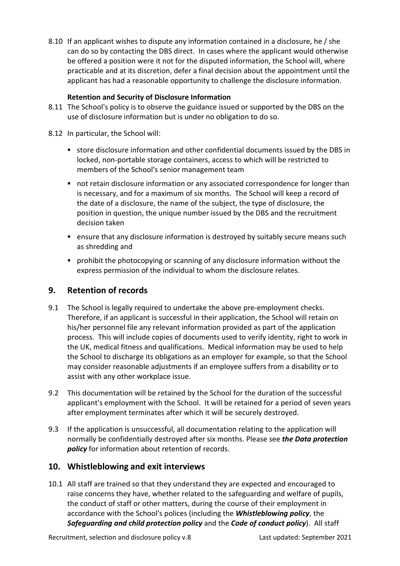8.10 If an applicant wishes to dispute any information contained in a disclosure, he / she can do so by contacting the DBS direct. In cases where the applicant would otherwise be offered a position were it not for the disputed information, the School will, where practicable and at its discretion, defer a final decision about the appointment until the applicant has had a reasonable opportunity to challenge the disclosure information.

#### **Retention and Security of Disclosure Information**

- 8.11 The School's policy is to observe the guidance issued or supported by the DBS on the use of disclosure information but is under no obligation to do so.
- 8.12 In particular, the School will:
	- store disclosure information and other confidential documents issued by the DBS in locked, non-portable storage containers, access to which will be restricted to members of the School's senior management team
	- not retain disclosure information or any associated correspondence for longer than is necessary, and for a maximum of six months. The School will keep a record of the date of a disclosure, the name of the subject, the type of disclosure, the position in question, the unique number issued by the DBS and the recruitment decision taken
	- ensure that any disclosure information is destroyed by suitably secure means such as shredding and
	- prohibit the photocopying or scanning of any disclosure information without the express permission of the individual to whom the disclosure relates.

#### <span id="page-19-0"></span>**9. Retention of records**

- 9.1 The School is legally required to undertake the above pre-employment checks. Therefore, if an applicant is successful in their application, the School will retain on his/her personnel file any relevant information provided as part of the application process. This will include copies of documents used to verify identity, right to work in the UK, medical fitness and qualifications. Medical information may be used to help the School to discharge its obligations as an employer for example, so that the School may consider reasonable adjustments if an employee suffers from a disability or to assist with any other workplace issue.
- 9.2 This documentation will be retained by the School for the duration of the successful applicant's employment with the School. It will be retained for a period of seven years after employment terminates after which it will be securely destroyed.
- 9.3 If the application is unsuccessful, all documentation relating to the application will normally be confidentially destroyed after six months. Please see *the Data protection policy* for information about retention of records.

#### <span id="page-19-1"></span>**10. Whistleblowing and exit interviews**

10.1 All staff are trained so that they understand they are expected and encouraged to raise concerns they have, whether related to the safeguarding and welfare of pupils, the conduct of staff or other matters, during the course of their employment in accordance with the School's polices (including the *Whistleblowing policy*, the *Safeguarding and child protection policy* and the *Code of conduct policy*). All staff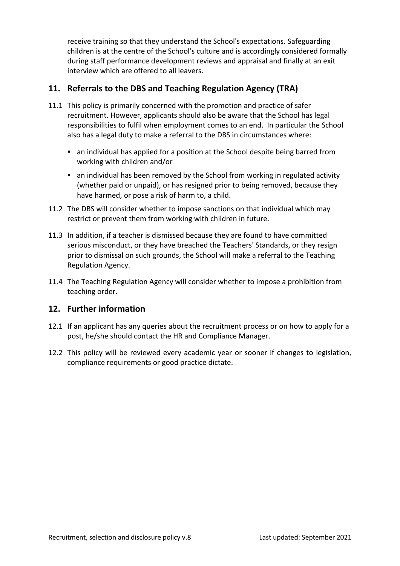receive training so that they understand the School's expectations. Safeguarding children is at the centre of the School's culture and is accordingly considered formally during staff performance development reviews and appraisal and finally at an exit interview which are offered to all leavers.

# <span id="page-20-0"></span>**11. Referrals to the DBS and Teaching Regulation Agency (TRA)**

- 11.1 This policy is primarily concerned with the promotion and practice of safer recruitment. However, applicants should also be aware that the School has legal responsibilities to fulfil when employment comes to an end. In particular the School also has a legal duty to make a referral to the DBS in circumstances where:
	- an individual has applied for a position at the School despite being barred from working with children and/or
	- an individual has been removed by the School from working in regulated activity (whether paid or unpaid), or has resigned prior to being removed, because they have harmed, or pose a risk of harm to, a child.
- 11.2 The DBS will consider whether to impose sanctions on that individual which may restrict or prevent them from working with children in future.
- 11.3 In addition, if a teacher is dismissed because they are found to have committed serious misconduct, or they have breached the Teachers' Standards, or they resign prior to dismissal on such grounds, the School will make a referral to the Teaching Regulation Agency.
- 11.4 The Teaching Regulation Agency will consider whether to impose a prohibition from teaching order.

#### <span id="page-20-1"></span>**12. Further information**

- 12.1 If an applicant has any queries about the recruitment process or on how to apply for a post, he/she should contact the HR and Compliance Manager.
- 12.2 This policy will be reviewed every academic year or sooner if changes to legislation, compliance requirements or good practice dictate.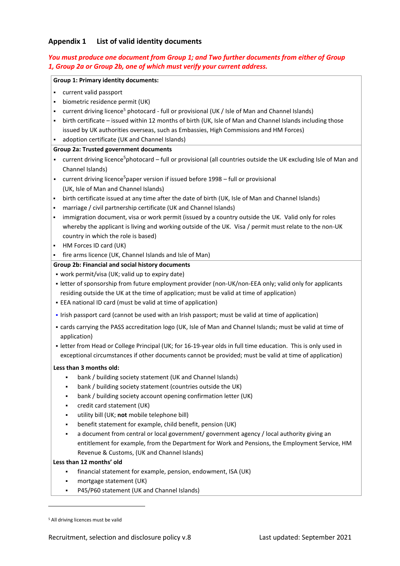#### <span id="page-21-0"></span>**Appendix 1 List of valid identity documents**

#### *You must produce one document from Group 1; and Two further documents from either of Group 1, Group 2a or Group 2b, one of which must verify your current address.*

#### **Group 1: Primary identity documents:**

- current valid passport
- **•** biometric residence permit (UK)
- <span id="page-21-1"></span>• current driving licence<sup>5</sup> photocard - full or provisional (UK / Isle of Man and Channel Islands)
- birth certificate issued within 12 months of birth (UK, Isle of Man and Channel Islands including those issued by UK authorities overseas, such as Embassies, High Commissions and HM Forces)
- adoption certificate (UK and Channel Islands)

#### **Group 2a: Trusted government documents**

- current driving licence<su[p](#page-21-1)>5</sup>photocard full or provisional (all countries outside the UK excluding Isle of Man and Channel Islands)
- current driving licence<su[p](#page-21-1)>5</sup>paper version if issued before 1998 full or provisional (UK, Isle of Man and Channel Islands)
- birth certificate issued at any time after the date of birth (UK, Isle of Man and Channel Islands)
- marriage / civil partnership certificate (UK and Channel Islands)
- . immigration document, visa or work permit (issued by a country outside the UK. Valid only for roles whereby the applicant is living and working outside of the UK. Visa / permit must relate to the non-UK country in which the role is based)
- HM Forces ID card (UK)
- **.** fire arms licence (UK, Channel Islands and Isle of Man)

#### **Group 2b: Financial and social history documents**

- work permit/visa (UK; valid up to expiry date)
- letter of sponsorship from future employment provider (non-UK/non-EEA only; valid only for applicants residing outside the UK at the time of application; must be valid at time of application)
- EEA national ID card (must be valid at time of application)
- Irish passport card (cannot be used with an Irish passport; must be valid at time of application)
- cards carrying the PASS accreditation logo (UK, Isle of Man and Channel Islands; must be valid at time of application)
- letter from Head or College Principal (UK; for 16-19-year olds in full time education. This is only used in exceptional circumstances if other documents cannot be provided; must be valid at time of application)

#### **Less than 3 months old:**

- bank / building society statement (UK and Channel Islands)
- bank / building society statement (countries outside the UK)
- bank / building society account opening confirmation letter (UK)
- credit card statement (UK)
- utility bill (UK; not mobile telephone bill)
- benefit statement for example, child benefit, pension (UK)
- a document from central or local government/ government agency / local authority giving an entitlement for example, from the Department for Work and Pensions, the Employment Service, HM Revenue & Customs, (UK and Channel Islands)

#### **Less than 12 months' old**

- financial statement for example, pension, endowment, ISA (UK)
- mortgage statement (UK)
- P45/P60 statement (UK and Channel Islands)

<sup>5</sup> All driving licences must be valid